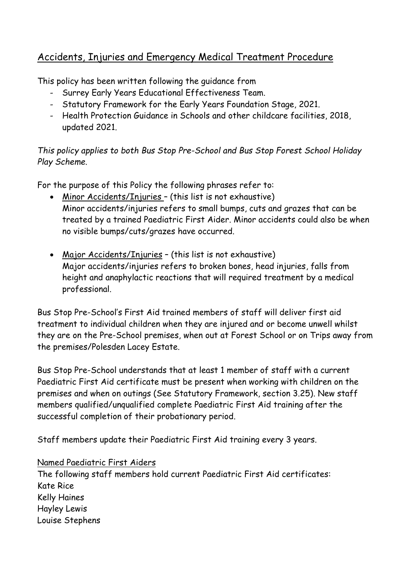# Accidents, Injuries and Emergency Medical Treatment Procedure

This policy has been written following the guidance from

- Surrey Early Years Educational Effectiveness Team.
- Statutory Framework for the Early Years Foundation Stage, 2021.
- Health Protection Guidance in Schools and other childcare facilities, 2018, updated 2021.

## *This policy applies to both Bus Stop Pre-School and Bus Stop Forest School Holiday Play Scheme.*

For the purpose of this Policy the following phrases refer to:

- Minor Accidents/Injuries (this list is not exhaustive) Minor accidents/injuries refers to small bumps, cuts and grazes that can be treated by a trained Paediatric First Aider. Minor accidents could also be when no visible bumps/cuts/grazes have occurred.
- Major Accidents/Injuries (this list is not exhaustive) Major accidents/injuries refers to broken bones, head injuries, falls from height and anaphylactic reactions that will required treatment by a medical professional.

Bus Stop Pre-School's First Aid trained members of staff will deliver first aid treatment to individual children when they are injured and or become unwell whilst they are on the Pre-School premises, when out at Forest School or on Trips away from the premises/Polesden Lacey Estate.

Bus Stop Pre-School understands that at least 1 member of staff with a current Paediatric First Aid certificate must be present when working with children on the premises and when on outings (See Statutory Framework, section 3.25). New staff members qualified/unqualified complete Paediatric First Aid training after the successful completion of their probationary period.

Staff members update their Paediatric First Aid training every 3 years.

## Named Paediatric First Aiders

The following staff members hold current Paediatric First Aid certificates: Kate Rice Kelly Haines Hayley Lewis Louise Stephens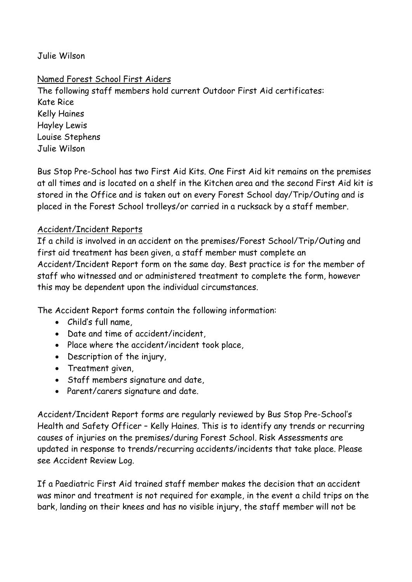## Julie Wilson

## Named Forest School First Aiders

The following staff members hold current Outdoor First Aid certificates: Kate Rice Kelly Haines Hayley Lewis Louise Stephens Julie Wilson

Bus Stop Pre-School has two First Aid Kits. One First Aid kit remains on the premises at all times and is located on a shelf in the Kitchen area and the second First Aid kit is stored in the Office and is taken out on every Forest School day/Trip/Outing and is placed in the Forest School trolleys/or carried in a rucksack by a staff member.

## Accident/Incident Reports

If a child is involved in an accident on the premises/Forest School/Trip/Outing and first aid treatment has been given, a staff member must complete an Accident/Incident Report form on the same day. Best practice is for the member of staff who witnessed and or administered treatment to complete the form, however this may be dependent upon the individual circumstances.

The Accident Report forms contain the following information:

- Child's full name,
- Date and time of accident/incident,
- Place where the accident/incident took place,
- Description of the injury,
- Treatment given,
- Staff members signature and date,
- Parent/carers signature and date.

Accident/Incident Report forms are regularly reviewed by Bus Stop Pre-School's Health and Safety Officer – Kelly Haines. This is to identify any trends or recurring causes of injuries on the premises/during Forest School. Risk Assessments are updated in response to trends/recurring accidents/incidents that take place. Please see Accident Review Log.

If a Paediatric First Aid trained staff member makes the decision that an accident was minor and treatment is not required for example, in the event a child trips on the bark, landing on their knees and has no visible injury, the staff member will not be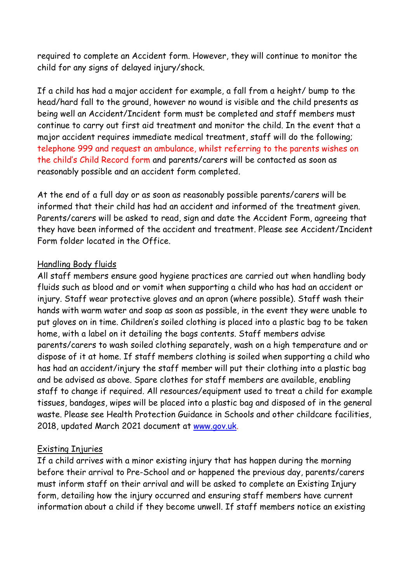required to complete an Accident form. However, they will continue to monitor the child for any signs of delayed injury/shock.

If a child has had a major accident for example, a fall from a height/ bump to the head/hard fall to the ground, however no wound is visible and the child presents as being well an Accident/Incident form must be completed and staff members must continue to carry out first aid treatment and monitor the child. In the event that a major accident requires immediate medical treatment, staff will do the following; telephone 999 and request an ambulance, whilst referring to the parents wishes on the child's Child Record form and parents/carers will be contacted as soon as reasonably possible and an accident form completed.

At the end of a full day or as soon as reasonably possible parents/carers will be informed that their child has had an accident and informed of the treatment given. Parents/carers will be asked to read, sign and date the Accident Form, agreeing that they have been informed of the accident and treatment. Please see Accident/Incident Form folder located in the Office.

#### Handling Body fluids

All staff members ensure good hygiene practices are carried out when handling body fluids such as blood and or vomit when supporting a child who has had an accident or injury. Staff wear protective gloves and an apron (where possible). Staff wash their hands with warm water and soap as soon as possible, in the event they were unable to put gloves on in time. Children's soiled clothing is placed into a plastic bag to be taken home, with a label on it detailing the bags contents. Staff members advise parents/carers to wash soiled clothing separately, wash on a high temperature and or dispose of it at home. If staff members clothing is soiled when supporting a child who has had an accident/injury the staff member will put their clothing into a plastic bag and be advised as above. Spare clothes for staff members are available, enabling staff to change if required. All resources/equipment used to treat a child for example tissues, bandages, wipes will be placed into a plastic bag and disposed of in the general waste. Please see Health Protection Guidance in Schools and other childcare facilities, 2018, updated March 2021 document at [www.gov.uk.](http://www.gov.uk/)

#### Existing Injuries

If a child arrives with a minor existing injury that has happen during the morning before their arrival to Pre-School and or happened the previous day, parents/carers must inform staff on their arrival and will be asked to complete an Existing Injury form, detailing how the injury occurred and ensuring staff members have current information about a child if they become unwell. If staff members notice an existing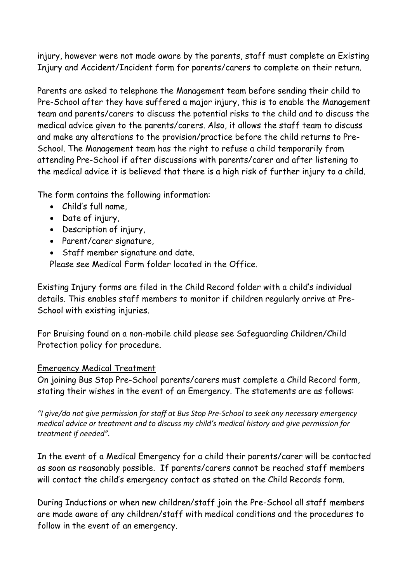injury, however were not made aware by the parents, staff must complete an Existing Injury and Accident/Incident form for parents/carers to complete on their return.

Parents are asked to telephone the Management team before sending their child to Pre-School after they have suffered a major injury, this is to enable the Management team and parents/carers to discuss the potential risks to the child and to discuss the medical advice given to the parents/carers. Also, it allows the staff team to discuss and make any alterations to the provision/practice before the child returns to Pre-School. The Management team has the right to refuse a child temporarily from attending Pre-School if after discussions with parents/carer and after listening to the medical advice it is believed that there is a high risk of further injury to a child.

The form contains the following information:

- Child's full name,
- Date of injury,
- Description of injury,
- Parent/carer signature,
- Staff member signature and date.

Please see Medical Form folder located in the Office.

Existing Injury forms are filed in the Child Record folder with a child's individual details. This enables staff members to monitor if children regularly arrive at Pre-School with existing injuries.

For Bruising found on a non-mobile child please see Safeguarding Children/Child Protection policy for procedure.

#### Emergency Medical Treatment

On joining Bus Stop Pre-School parents/carers must complete a Child Record form, stating their wishes in the event of an Emergency. The statements are as follows:

*"I give/do not give permission for staff at Bus Stop Pre-School to seek any necessary emergency medical advice or treatment and to discuss my child's medical history and give permission for treatment if needed".*

In the event of a Medical Emergency for a child their parents/carer will be contacted as soon as reasonably possible. If parents/carers cannot be reached staff members will contact the child's emergency contact as stated on the Child Records form.

During Inductions or when new children/staff join the Pre-School all staff members are made aware of any children/staff with medical conditions and the procedures to follow in the event of an emergency.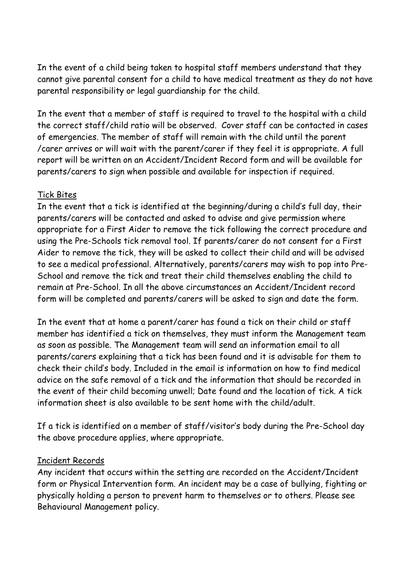In the event of a child being taken to hospital staff members understand that they cannot give parental consent for a child to have medical treatment as they do not have parental responsibility or legal guardianship for the child.

In the event that a member of staff is required to travel to the hospital with a child the correct staff/child ratio will be observed. Cover staff can be contacted in cases of emergencies. The member of staff will remain with the child until the parent /carer arrives or will wait with the parent/carer if they feel it is appropriate. A full report will be written on an Accident/Incident Record form and will be available for parents/carers to sign when possible and available for inspection if required.

## Tick Bites

In the event that a tick is identified at the beginning/during a child's full day, their parents/carers will be contacted and asked to advise and give permission where appropriate for a First Aider to remove the tick following the correct procedure and using the Pre-Schools tick removal tool. If parents/carer do not consent for a First Aider to remove the tick, they will be asked to collect their child and will be advised to see a medical professional. Alternatively, parents/carers may wish to pop into Pre-School and remove the tick and treat their child themselves enabling the child to remain at Pre-School. In all the above circumstances an Accident/Incident record form will be completed and parents/carers will be asked to sign and date the form.

In the event that at home a parent/carer has found a tick on their child or staff member has identified a tick on themselves, they must inform the Management team as soon as possible. The Management team will send an information email to all parents/carers explaining that a tick has been found and it is advisable for them to check their child's body. Included in the email is information on how to find medical advice on the safe removal of a tick and the information that should be recorded in the event of their child becoming unwell; Date found and the location of tick. A tick information sheet is also available to be sent home with the child/adult.

If a tick is identified on a member of staff/visitor's body during the Pre-School day the above procedure applies, where appropriate.

## Incident Records

Any incident that occurs within the setting are recorded on the Accident/Incident form or Physical Intervention form. An incident may be a case of bullying, fighting or physically holding a person to prevent harm to themselves or to others. Please see Behavioural Management policy.